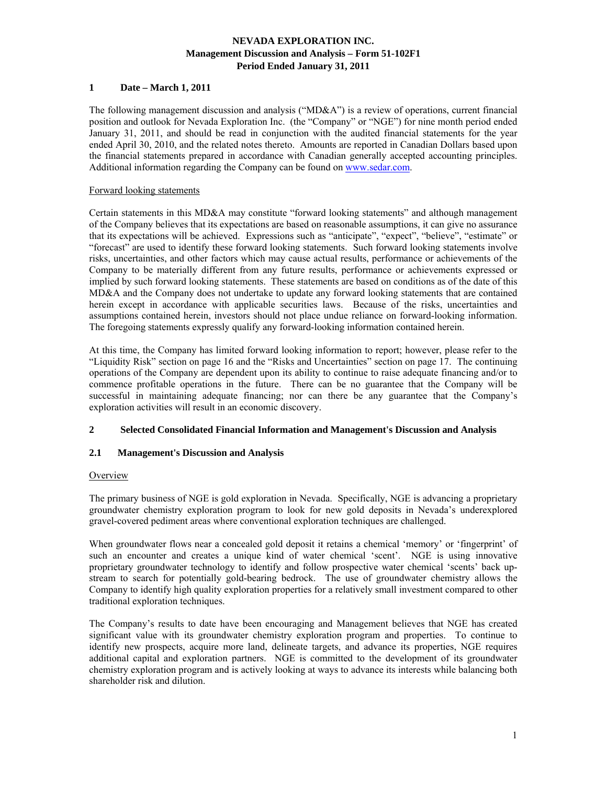## **1 Date – March 1, 2011**

The following management discussion and analysis ("MD&A") is a review of operations, current financial position and outlook for Nevada Exploration Inc. (the "Company" or "NGE") for nine month period ended January 31, 2011, and should be read in conjunction with the audited financial statements for the year ended April 30, 2010, and the related notes thereto. Amounts are reported in Canadian Dollars based upon the financial statements prepared in accordance with Canadian generally accepted accounting principles. Additional information regarding the Company can be found on www.sedar.com.

### Forward looking statements

Certain statements in this MD&A may constitute "forward looking statements" and although management of the Company believes that its expectations are based on reasonable assumptions, it can give no assurance that its expectations will be achieved. Expressions such as "anticipate", "expect", "believe", "estimate" or "forecast" are used to identify these forward looking statements. Such forward looking statements involve risks, uncertainties, and other factors which may cause actual results, performance or achievements of the Company to be materially different from any future results, performance or achievements expressed or implied by such forward looking statements. These statements are based on conditions as of the date of this MD&A and the Company does not undertake to update any forward looking statements that are contained herein except in accordance with applicable securities laws. Because of the risks, uncertainties and assumptions contained herein, investors should not place undue reliance on forward-looking information. The foregoing statements expressly qualify any forward-looking information contained herein.

At this time, the Company has limited forward looking information to report; however, please refer to the "Liquidity Risk" section on page 16 and the "Risks and Uncertainties" section on page 17. The continuing operations of the Company are dependent upon its ability to continue to raise adequate financing and/or to commence profitable operations in the future. There can be no guarantee that the Company will be successful in maintaining adequate financing; nor can there be any guarantee that the Company's exploration activities will result in an economic discovery.

### **2 Selected Consolidated Financial Information and Management's Discussion and Analysis**

## **2.1 Management's Discussion and Analysis**

#### **Overview**

The primary business of NGE is gold exploration in Nevada. Specifically, NGE is advancing a proprietary groundwater chemistry exploration program to look for new gold deposits in Nevada's underexplored gravel-covered pediment areas where conventional exploration techniques are challenged.

When groundwater flows near a concealed gold deposit it retains a chemical 'memory' or 'fingerprint' of such an encounter and creates a unique kind of water chemical 'scent'. NGE is using innovative proprietary groundwater technology to identify and follow prospective water chemical 'scents' back upstream to search for potentially gold-bearing bedrock. The use of groundwater chemistry allows the Company to identify high quality exploration properties for a relatively small investment compared to other traditional exploration techniques.

The Company's results to date have been encouraging and Management believes that NGE has created significant value with its groundwater chemistry exploration program and properties. To continue to identify new prospects, acquire more land, delineate targets, and advance its properties, NGE requires additional capital and exploration partners. NGE is committed to the development of its groundwater chemistry exploration program and is actively looking at ways to advance its interests while balancing both shareholder risk and dilution.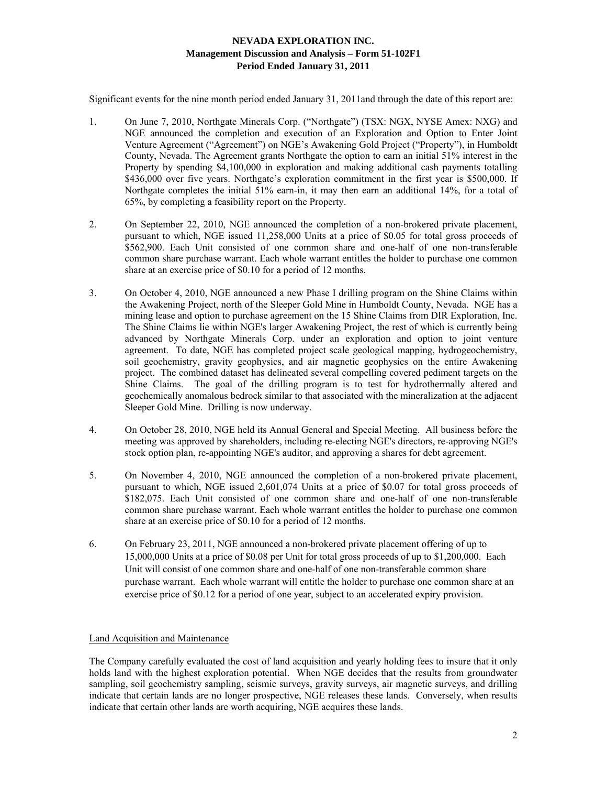Significant events for the nine month period ended January 31, 2011and through the date of this report are:

- 1. On June 7, 2010, Northgate Minerals Corp. ("Northgate") (TSX: NGX, NYSE Amex: NXG) and NGE announced the completion and execution of an Exploration and Option to Enter Joint Venture Agreement ("Agreement") on NGE's Awakening Gold Project ("Property"), in Humboldt County, Nevada. The Agreement grants Northgate the option to earn an initial 51% interest in the Property by spending \$4,100,000 in exploration and making additional cash payments totalling \$436,000 over five years. Northgate's exploration commitment in the first year is \$500,000. If Northgate completes the initial 51% earn-in, it may then earn an additional 14%, for a total of 65%, by completing a feasibility report on the Property.
- 2. On September 22, 2010, NGE announced the completion of a non-brokered private placement, pursuant to which, NGE issued 11,258,000 Units at a price of \$0.05 for total gross proceeds of \$562,900. Each Unit consisted of one common share and one-half of one non-transferable common share purchase warrant. Each whole warrant entitles the holder to purchase one common share at an exercise price of \$0.10 for a period of 12 months.
- 3. On October 4, 2010, NGE announced a new Phase I drilling program on the Shine Claims within the Awakening Project, north of the Sleeper Gold Mine in Humboldt County, Nevada. NGE has a mining lease and option to purchase agreement on the 15 Shine Claims from DIR Exploration, Inc. The Shine Claims lie within NGE's larger Awakening Project, the rest of which is currently being advanced by Northgate Minerals Corp. under an exploration and option to joint venture agreement. To date, NGE has completed project scale geological mapping, hydrogeochemistry, soil geochemistry, gravity geophysics, and air magnetic geophysics on the entire Awakening project. The combined dataset has delineated several compelling covered pediment targets on the Shine Claims. The goal of the drilling program is to test for hydrothermally altered and geochemically anomalous bedrock similar to that associated with the mineralization at the adjacent Sleeper Gold Mine. Drilling is now underway.
- 4. On October 28, 2010, NGE held its Annual General and Special Meeting. All business before the meeting was approved by shareholders, including re-electing NGE's directors, re-approving NGE's stock option plan, re-appointing NGE's auditor, and approving a shares for debt agreement.
- 5. On November 4, 2010, NGE announced the completion of a non-brokered private placement, pursuant to which, NGE issued 2,601,074 Units at a price of \$0.07 for total gross proceeds of \$182,075. Each Unit consisted of one common share and one-half of one non-transferable common share purchase warrant. Each whole warrant entitles the holder to purchase one common share at an exercise price of \$0.10 for a period of 12 months.
- 6. On February 23, 2011, NGE announced a non-brokered private placement offering of up to 15,000,000 Units at a price of \$0.08 per Unit for total gross proceeds of up to \$1,200,000. Each Unit will consist of one common share and one-half of one non-transferable common share purchase warrant. Each whole warrant will entitle the holder to purchase one common share at an exercise price of \$0.12 for a period of one year, subject to an accelerated expiry provision.

## Land Acquisition and Maintenance

The Company carefully evaluated the cost of land acquisition and yearly holding fees to insure that it only holds land with the highest exploration potential. When NGE decides that the results from groundwater sampling, soil geochemistry sampling, seismic surveys, gravity surveys, air magnetic surveys, and drilling indicate that certain lands are no longer prospective, NGE releases these lands. Conversely, when results indicate that certain other lands are worth acquiring, NGE acquires these lands.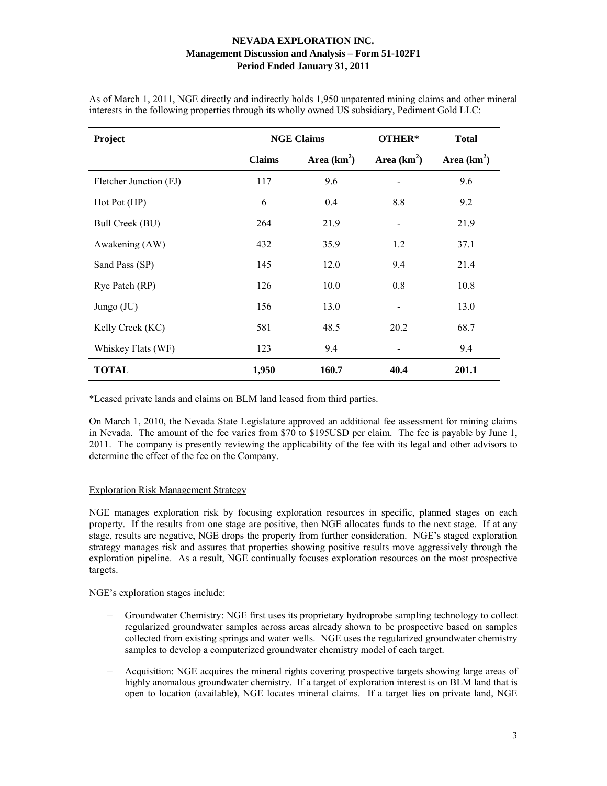| Project                | <b>NGE Claims</b> |               | OTHER*       | <b>Total</b>  |
|------------------------|-------------------|---------------|--------------|---------------|
|                        | <b>Claims</b>     | Area $(km^2)$ | Area $(km2)$ | Area $(km^2)$ |
| Fletcher Junction (FJ) | 117               | 9.6           | -            | 9.6           |
| Hot Pot(HP)            | 6                 | 0.4           | 8.8          | 9.2           |
| Bull Creek (BU)        | 264               | 21.9          |              | 21.9          |
| Awakening (AW)         | 432               | 35.9          | 1.2          | 37.1          |
| Sand Pass (SP)         | 145               | 12.0          | 9.4          | 21.4          |
| Rye Patch (RP)         | 126               | 10.0          | 0.8          | 10.8          |
| Jungo $(JU)$           | 156               | 13.0          |              | 13.0          |
| Kelly Creek (KC)       | 581               | 48.5          | 20.2         | 68.7          |
| Whiskey Flats (WF)     | 123               | 9.4           |              | 9.4           |
| <b>TOTAL</b>           | 1,950             | 160.7         | 40.4         | 201.1         |

As of March 1, 2011, NGE directly and indirectly holds 1,950 unpatented mining claims and other mineral interests in the following properties through its wholly owned US subsidiary, Pediment Gold LLC:

\*Leased private lands and claims on BLM land leased from third parties.

On March 1, 2010, the Nevada State Legislature approved an additional fee assessment for mining claims in Nevada. The amount of the fee varies from \$70 to \$195USD per claim. The fee is payable by June 1, 2011. The company is presently reviewing the applicability of the fee with its legal and other advisors to determine the effect of the fee on the Company.

## Exploration Risk Management Strategy

NGE manages exploration risk by focusing exploration resources in specific, planned stages on each property. If the results from one stage are positive, then NGE allocates funds to the next stage. If at any stage, results are negative, NGE drops the property from further consideration. NGE's staged exploration strategy manages risk and assures that properties showing positive results move aggressively through the exploration pipeline. As a result, NGE continually focuses exploration resources on the most prospective targets.

NGE's exploration stages include:

- − Groundwater Chemistry: NGE first uses its proprietary hydroprobe sampling technology to collect regularized groundwater samples across areas already shown to be prospective based on samples collected from existing springs and water wells. NGE uses the regularized groundwater chemistry samples to develop a computerized groundwater chemistry model of each target.
- Acquisition: NGE acquires the mineral rights covering prospective targets showing large areas of highly anomalous groundwater chemistry. If a target of exploration interest is on BLM land that is open to location (available), NGE locates mineral claims. If a target lies on private land, NGE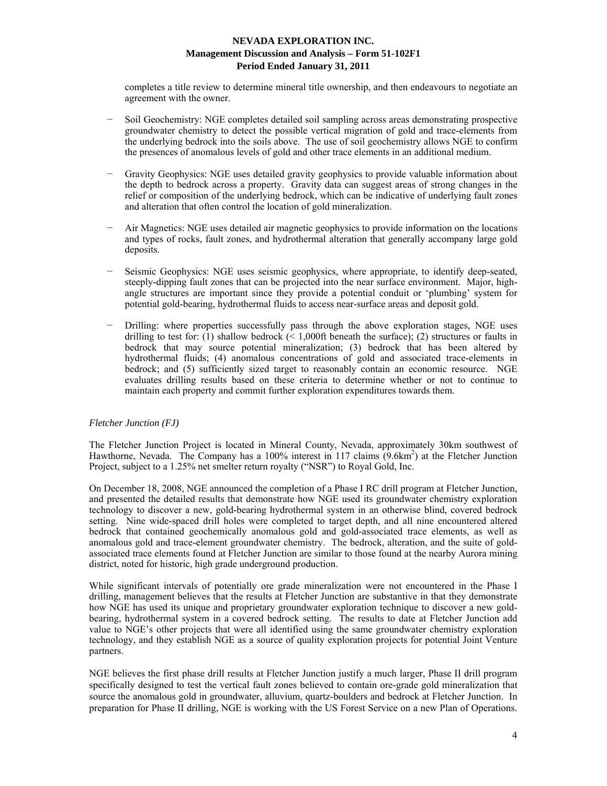completes a title review to determine mineral title ownership, and then endeavours to negotiate an agreement with the owner.

- Soil Geochemistry: NGE completes detailed soil sampling across areas demonstrating prospective groundwater chemistry to detect the possible vertical migration of gold and trace-elements from the underlying bedrock into the soils above. The use of soil geochemistry allows NGE to confirm the presences of anomalous levels of gold and other trace elements in an additional medium.
- Gravity Geophysics: NGE uses detailed gravity geophysics to provide valuable information about the depth to bedrock across a property. Gravity data can suggest areas of strong changes in the relief or composition of the underlying bedrock, which can be indicative of underlying fault zones and alteration that often control the location of gold mineralization.
- − Air Magnetics: NGE uses detailed air magnetic geophysics to provide information on the locations and types of rocks, fault zones, and hydrothermal alteration that generally accompany large gold deposits.
- Seismic Geophysics: NGE uses seismic geophysics, where appropriate, to identify deep-seated, steeply-dipping fault zones that can be projected into the near surface environment. Major, highangle structures are important since they provide a potential conduit or 'plumbing' system for potential gold-bearing, hydrothermal fluids to access near-surface areas and deposit gold.
- Drilling: where properties successfully pass through the above exploration stages, NGE uses drilling to test for: (1) shallow bedrock ( $\leq 1,000$ ft beneath the surface); (2) structures or faults in bedrock that may source potential mineralization; (3) bedrock that has been altered by hydrothermal fluids; (4) anomalous concentrations of gold and associated trace-elements in bedrock; and (5) sufficiently sized target to reasonably contain an economic resource. NGE evaluates drilling results based on these criteria to determine whether or not to continue to maintain each property and commit further exploration expenditures towards them.

## *Fletcher Junction (FJ)*

The Fletcher Junction Project is located in Mineral County, Nevada, approximately 30km southwest of Hawthorne, Nevada. The Company has a 100% interest in 117 claims (9.6km<sup>2</sup>) at the Fletcher Junction Project, subject to a 1.25% net smelter return royalty ("NSR") to Royal Gold, Inc.

On December 18, 2008, NGE announced the completion of a Phase I RC drill program at Fletcher Junction, and presented the detailed results that demonstrate how NGE used its groundwater chemistry exploration technology to discover a new, gold-bearing hydrothermal system in an otherwise blind, covered bedrock setting. Nine wide-spaced drill holes were completed to target depth, and all nine encountered altered bedrock that contained geochemically anomalous gold and gold-associated trace elements, as well as anomalous gold and trace-element groundwater chemistry. The bedrock, alteration, and the suite of goldassociated trace elements found at Fletcher Junction are similar to those found at the nearby Aurora mining district, noted for historic, high grade underground production.

While significant intervals of potentially ore grade mineralization were not encountered in the Phase I drilling, management believes that the results at Fletcher Junction are substantive in that they demonstrate how NGE has used its unique and proprietary groundwater exploration technique to discover a new goldbearing, hydrothermal system in a covered bedrock setting. The results to date at Fletcher Junction add value to NGE's other projects that were all identified using the same groundwater chemistry exploration technology, and they establish NGE as a source of quality exploration projects for potential Joint Venture partners.

NGE believes the first phase drill results at Fletcher Junction justify a much larger, Phase II drill program specifically designed to test the vertical fault zones believed to contain ore-grade gold mineralization that source the anomalous gold in groundwater, alluvium, quartz-boulders and bedrock at Fletcher Junction. In preparation for Phase II drilling, NGE is working with the US Forest Service on a new Plan of Operations.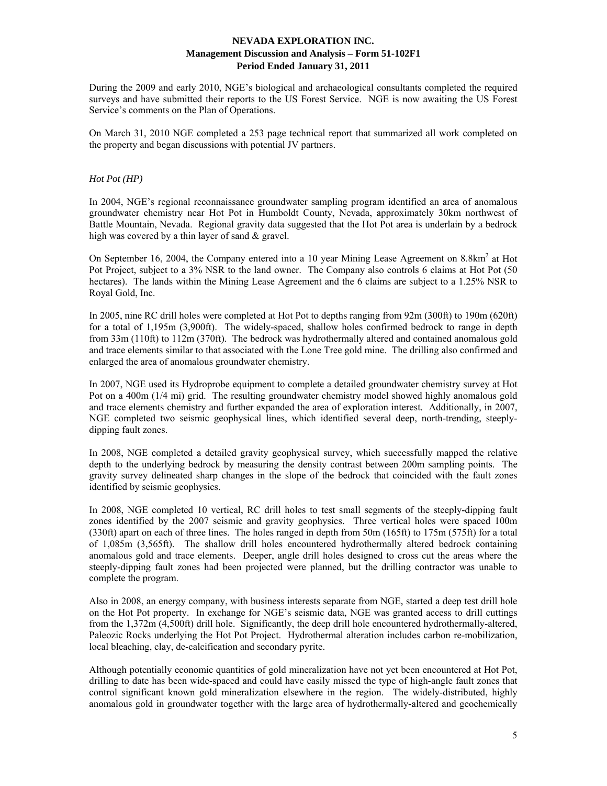During the 2009 and early 2010, NGE's biological and archaeological consultants completed the required surveys and have submitted their reports to the US Forest Service. NGE is now awaiting the US Forest Service's comments on the Plan of Operations.

On March 31, 2010 NGE completed a 253 page technical report that summarized all work completed on the property and began discussions with potential JV partners.

## *Hot Pot (HP)*

In 2004, NGE's regional reconnaissance groundwater sampling program identified an area of anomalous groundwater chemistry near Hot Pot in Humboldt County, Nevada, approximately 30km northwest of Battle Mountain, Nevada. Regional gravity data suggested that the Hot Pot area is underlain by a bedrock high was covered by a thin layer of sand & gravel.

On September 16, 2004, the Company entered into a 10 year Mining Lease Agreement on 8.8km<sup>2</sup> at Hot Pot Project, subject to a 3% NSR to the land owner. The Company also controls 6 claims at Hot Pot (50 hectares). The lands within the Mining Lease Agreement and the 6 claims are subject to a 1.25% NSR to Royal Gold, Inc.

In 2005, nine RC drill holes were completed at Hot Pot to depths ranging from 92m (300ft) to 190m (620ft) for a total of 1,195m (3,900ft). The widely-spaced, shallow holes confirmed bedrock to range in depth from 33m (110ft) to 112m (370ft). The bedrock was hydrothermally altered and contained anomalous gold and trace elements similar to that associated with the Lone Tree gold mine. The drilling also confirmed and enlarged the area of anomalous groundwater chemistry.

In 2007, NGE used its Hydroprobe equipment to complete a detailed groundwater chemistry survey at Hot Pot on a 400m (1/4 mi) grid. The resulting groundwater chemistry model showed highly anomalous gold and trace elements chemistry and further expanded the area of exploration interest. Additionally, in 2007, NGE completed two seismic geophysical lines, which identified several deep, north-trending, steeplydipping fault zones.

In 2008, NGE completed a detailed gravity geophysical survey, which successfully mapped the relative depth to the underlying bedrock by measuring the density contrast between 200m sampling points. The gravity survey delineated sharp changes in the slope of the bedrock that coincided with the fault zones identified by seismic geophysics.

In 2008, NGE completed 10 vertical, RC drill holes to test small segments of the steeply-dipping fault zones identified by the 2007 seismic and gravity geophysics. Three vertical holes were spaced 100m (330ft) apart on each of three lines. The holes ranged in depth from 50m (165ft) to 175m (575ft) for a total of 1,085m (3,565ft). The shallow drill holes encountered hydrothermally altered bedrock containing anomalous gold and trace elements. Deeper, angle drill holes designed to cross cut the areas where the steeply-dipping fault zones had been projected were planned, but the drilling contractor was unable to complete the program.

Also in 2008, an energy company, with business interests separate from NGE, started a deep test drill hole on the Hot Pot property. In exchange for NGE's seismic data, NGE was granted access to drill cuttings from the 1,372m (4,500ft) drill hole. Significantly, the deep drill hole encountered hydrothermally-altered, Paleozic Rocks underlying the Hot Pot Project. Hydrothermal alteration includes carbon re-mobilization, local bleaching, clay, de-calcification and secondary pyrite.

Although potentially economic quantities of gold mineralization have not yet been encountered at Hot Pot, drilling to date has been wide-spaced and could have easily missed the type of high-angle fault zones that control significant known gold mineralization elsewhere in the region. The widely-distributed, highly anomalous gold in groundwater together with the large area of hydrothermally-altered and geochemically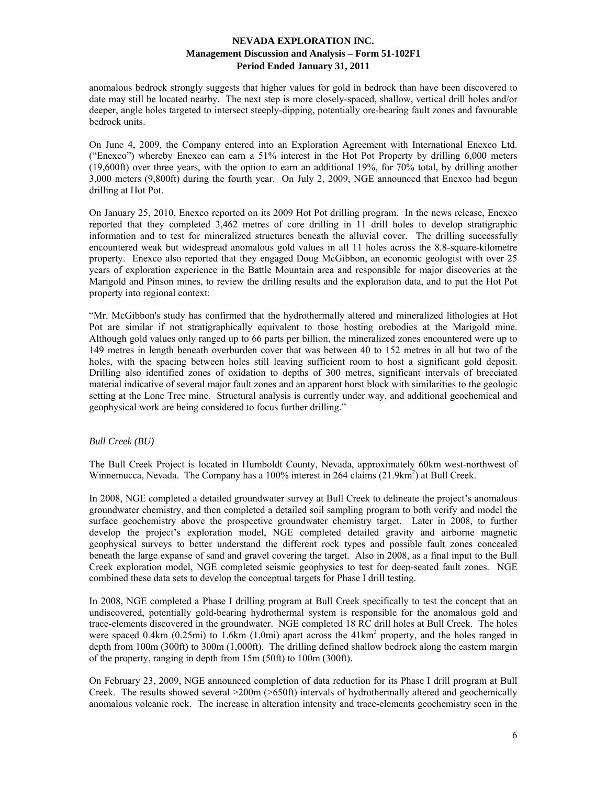anomalous bedrock strongly suggests that higher values for gold in bedrock than have been discovered to date may still be located nearby. The next step is more closely-spaced, shallow, vertical drill holes and/or deeper, angle holes targeted to intersect steeply-dipping, potentially ore-bearing fault zones and favourable bedrock units.

On June 4, 2009, the Company entered into an Exploration Agreement with International Enexco Ltd. ("Enexco") whereby Enexco can earn a 51% interest in the Hot Pot Property by drilling 6,000 meters (19,600ft) over three years, with the option to earn an additional 19%, for 70% total, by drilling another 3,000 meters (9,800ft) during the fourth year. On July 2, 2009, NGE announced that Enexco had begun drilling at Hot Pot.

On January 25, 2010, Enexco reported on its 2009 Hot Pot drilling program. In the news release, Enexco reported that they completed 3,462 metres of core drilling in 11 drill holes to develop stratigraphic information and to test for mineralized structures beneath the alluvial cover. The drilling successfully encountered weak but widespread anomalous gold values in all 11 holes across the 8.8-square-kilometre property. Enexco also reported that they engaged Doug McGibbon, an economic geologist with over 25 years of exploration experience in the Battle Mountain area and responsible for major discoveries at the Marigold and Pinson mines, to review the drilling results and the exploration data, and to put the Hot Pot property into regional context:

"Mr. McGibbon's study has confirmed that the hydrothermally altered and mineralized lithologies at Hot Pot are similar if not stratigraphically equivalent to those hosting orebodies at the Marigold mine. Although gold values only ranged up to 66 parts per billion, the mineralized zones encountered were up to 149 metres in length beneath overburden cover that was between 40 to 152 metres in all but two of the holes, with the spacing between holes still leaving sufficient room to host a significant gold deposit. Drilling also identified zones of oxidation to depths of 300 metres, significant intervals of brecciated material indicative of several major fault zones and an apparent horst block with similarities to the geologic setting at the Lone Tree mine. Structural analysis is currently under way, and additional geochemical and geophysical work are being considered to focus further drilling."

## *Bull Creek (BU)*

The Bull Creek Project is located in Humboldt County, Nevada, approximately 60km west-northwest of Winnemucca, Nevada. The Company has a 100% interest in 264 claims (21.9km<sup>2</sup>) at Bull Creek.

In 2008, NGE completed a detailed groundwater survey at Bull Creek to delineate the project's anomalous groundwater chemistry, and then completed a detailed soil sampling program to both verify and model the surface geochemistry above the prospective groundwater chemistry target. Later in 2008, to further develop the project's exploration model, NGE completed detailed gravity and airborne magnetic geophysical surveys to better understand the different rock types and possible fault zones concealed beneath the large expanse of sand and gravel covering the target. Also in 2008, as a final input to the Bull Creek exploration model, NGE completed seismic geophysics to test for deep-seated fault zones. NGE combined these data sets to develop the conceptual targets for Phase I drill testing.

In 2008, NGE completed a Phase I drilling program at Bull Creek specifically to test the concept that an undiscovered, potentially gold-bearing hydrothermal system is responsible for the anomalous gold and trace-elements discovered in the groundwater. NGE completed 18 RC drill holes at Bull Creek. The holes were spaced  $0.4 \text{km}$  ( $0.25 \text{mi}$ ) to  $1.6 \text{km}$  ( $1.0 \text{mi}$ ) apart across the  $41 \text{km}^2$  property, and the holes ranged in depth from 100m (300ft) to 300m (1,000ft). The drilling defined shallow bedrock along the eastern margin of the property, ranging in depth from 15m (50ft) to 100m (300ft).

On February 23, 2009, NGE announced completion of data reduction for its Phase I drill program at Bull Creek. The results showed several >200m (>650ft) intervals of hydrothermally altered and geochemically anomalous volcanic rock. The increase in alteration intensity and trace-elements geochemistry seen in the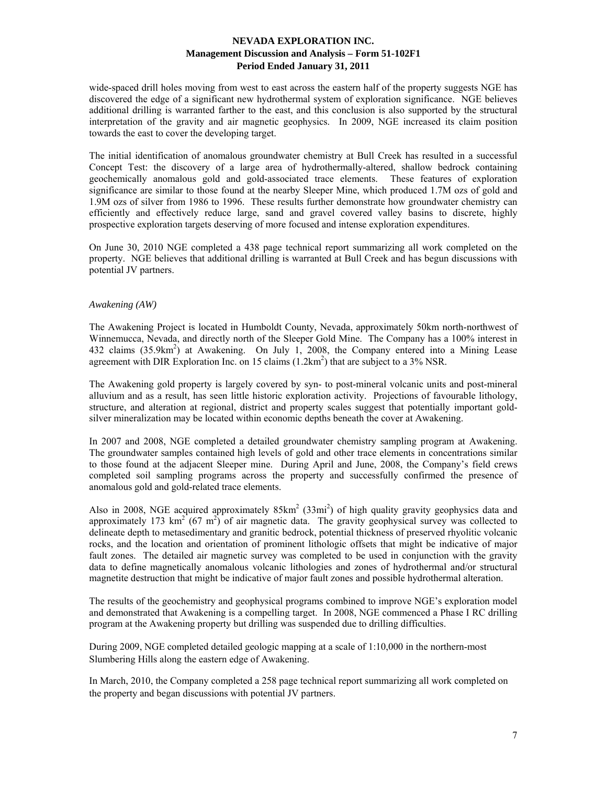wide-spaced drill holes moving from west to east across the eastern half of the property suggests NGE has discovered the edge of a significant new hydrothermal system of exploration significance. NGE believes additional drilling is warranted farther to the east, and this conclusion is also supported by the structural interpretation of the gravity and air magnetic geophysics. In 2009, NGE increased its claim position towards the east to cover the developing target.

The initial identification of anomalous groundwater chemistry at Bull Creek has resulted in a successful Concept Test: the discovery of a large area of hydrothermally-altered, shallow bedrock containing geochemically anomalous gold and gold-associated trace elements. These features of exploration significance are similar to those found at the nearby Sleeper Mine, which produced 1.7M ozs of gold and 1.9M ozs of silver from 1986 to 1996. These results further demonstrate how groundwater chemistry can efficiently and effectively reduce large, sand and gravel covered valley basins to discrete, highly prospective exploration targets deserving of more focused and intense exploration expenditures.

On June 30, 2010 NGE completed a 438 page technical report summarizing all work completed on the property. NGE believes that additional drilling is warranted at Bull Creek and has begun discussions with potential JV partners.

## *Awakening (AW)*

The Awakening Project is located in Humboldt County, Nevada, approximately 50km north-northwest of Winnemucca, Nevada, and directly north of the Sleeper Gold Mine. The Company has a 100% interest in 432 claims (35.9km<sup>2</sup>) at Awakening. On July 1, 2008, the Company entered into a Mining Lease agreement with DIR Exploration Inc. on 15 claims  $(1.2 \text{km}^2)$  that are subject to a 3% NSR.

The Awakening gold property is largely covered by syn- to post-mineral volcanic units and post-mineral alluvium and as a result, has seen little historic exploration activity. Projections of favourable lithology, structure, and alteration at regional, district and property scales suggest that potentially important goldsilver mineralization may be located within economic depths beneath the cover at Awakening.

In 2007 and 2008, NGE completed a detailed groundwater chemistry sampling program at Awakening. The groundwater samples contained high levels of gold and other trace elements in concentrations similar to those found at the adjacent Sleeper mine. During April and June, 2008, the Company's field crews completed soil sampling programs across the property and successfully confirmed the presence of anomalous gold and gold-related trace elements.

Also in 2008, NGE acquired approximately  $85 \text{km}^2$  (33mi<sup>2</sup>) of high quality gravity geophysics data and approximately 173  $\text{km}^2$  (67 m<sup>2</sup>) of air magnetic data. The gravity geophysical survey was collected to delineate depth to metasedimentary and granitic bedrock, potential thickness of preserved rhyolitic volcanic rocks, and the location and orientation of prominent lithologic offsets that might be indicative of major fault zones. The detailed air magnetic survey was completed to be used in conjunction with the gravity data to define magnetically anomalous volcanic lithologies and zones of hydrothermal and/or structural magnetite destruction that might be indicative of major fault zones and possible hydrothermal alteration.

The results of the geochemistry and geophysical programs combined to improve NGE's exploration model and demonstrated that Awakening is a compelling target. In 2008, NGE commenced a Phase I RC drilling program at the Awakening property but drilling was suspended due to drilling difficulties.

During 2009, NGE completed detailed geologic mapping at a scale of 1:10,000 in the northern-most Slumbering Hills along the eastern edge of Awakening.

In March, 2010, the Company completed a 258 page technical report summarizing all work completed on the property and began discussions with potential JV partners.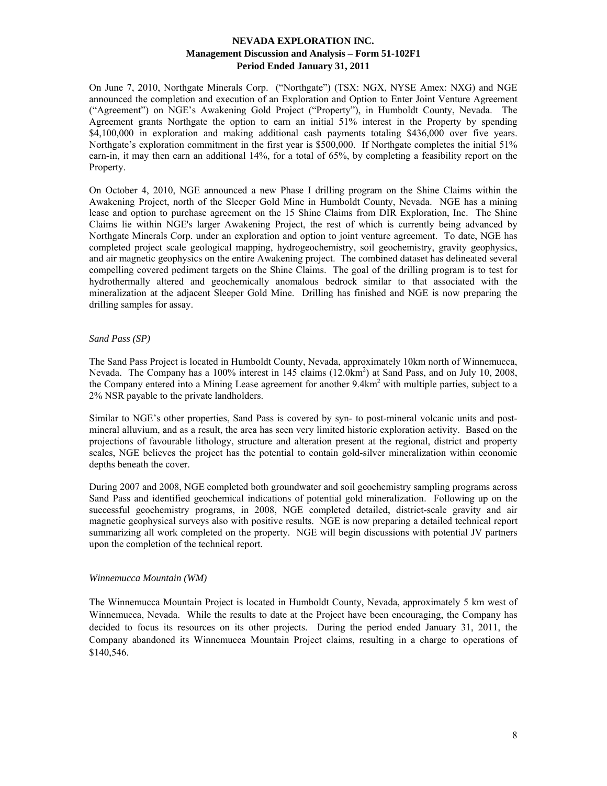On June 7, 2010, Northgate Minerals Corp. ("Northgate") (TSX: NGX, NYSE Amex: NXG) and NGE announced the completion and execution of an Exploration and Option to Enter Joint Venture Agreement ("Agreement") on NGE's Awakening Gold Project ("Property"), in Humboldt County, Nevada. The Agreement grants Northgate the option to earn an initial 51% interest in the Property by spending \$4,100,000 in exploration and making additional cash payments totaling \$436,000 over five years. Northgate's exploration commitment in the first year is \$500,000. If Northgate completes the initial 51% earn-in, it may then earn an additional 14%, for a total of 65%, by completing a feasibility report on the Property.

On October 4, 2010, NGE announced a new Phase I drilling program on the Shine Claims within the Awakening Project, north of the Sleeper Gold Mine in Humboldt County, Nevada. NGE has a mining lease and option to purchase agreement on the 15 Shine Claims from DIR Exploration, Inc. The Shine Claims lie within NGE's larger Awakening Project, the rest of which is currently being advanced by Northgate Minerals Corp. under an exploration and option to joint venture agreement. To date, NGE has completed project scale geological mapping, hydrogeochemistry, soil geochemistry, gravity geophysics, and air magnetic geophysics on the entire Awakening project. The combined dataset has delineated several compelling covered pediment targets on the Shine Claims. The goal of the drilling program is to test for hydrothermally altered and geochemically anomalous bedrock similar to that associated with the mineralization at the adjacent Sleeper Gold Mine. Drilling has finished and NGE is now preparing the drilling samples for assay.

## *Sand Pass (SP)*

The Sand Pass Project is located in Humboldt County, Nevada, approximately 10km north of Winnemucca, Nevada. The Company has a 100% interest in 145 claims (12.0km<sup>2</sup>) at Sand Pass, and on July 10, 2008, the Company entered into a Mining Lease agreement for another 9.4km<sup>2</sup> with multiple parties, subject to a 2% NSR payable to the private landholders.

Similar to NGE's other properties, Sand Pass is covered by syn- to post-mineral volcanic units and postmineral alluvium, and as a result, the area has seen very limited historic exploration activity. Based on the projections of favourable lithology, structure and alteration present at the regional, district and property scales, NGE believes the project has the potential to contain gold-silver mineralization within economic depths beneath the cover.

During 2007 and 2008, NGE completed both groundwater and soil geochemistry sampling programs across Sand Pass and identified geochemical indications of potential gold mineralization. Following up on the successful geochemistry programs, in 2008, NGE completed detailed, district-scale gravity and air magnetic geophysical surveys also with positive results. NGE is now preparing a detailed technical report summarizing all work completed on the property. NGE will begin discussions with potential JV partners upon the completion of the technical report.

#### *Winnemucca Mountain (WM)*

The Winnemucca Mountain Project is located in Humboldt County, Nevada, approximately 5 km west of Winnemucca, Nevada. While the results to date at the Project have been encouraging, the Company has decided to focus its resources on its other projects. During the period ended January 31, 2011, the Company abandoned its Winnemucca Mountain Project claims, resulting in a charge to operations of \$140,546.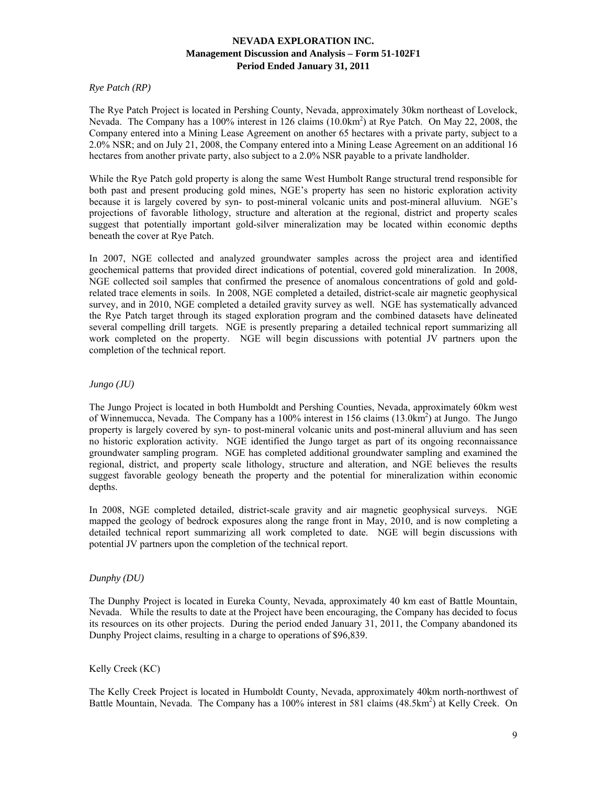## *Rye Patch (RP)*

The Rye Patch Project is located in Pershing County, Nevada, approximately 30km northeast of Lovelock, Nevada. The Company has a 100% interest in 126 claims (10.0km<sup>2</sup>) at Rye Patch. On May 22, 2008, the Company entered into a Mining Lease Agreement on another 65 hectares with a private party, subject to a 2.0% NSR; and on July 21, 2008, the Company entered into a Mining Lease Agreement on an additional 16 hectares from another private party, also subject to a 2.0% NSR payable to a private landholder.

While the Rye Patch gold property is along the same West Humbolt Range structural trend responsible for both past and present producing gold mines, NGE's property has seen no historic exploration activity because it is largely covered by syn- to post-mineral volcanic units and post-mineral alluvium. NGE's projections of favorable lithology, structure and alteration at the regional, district and property scales suggest that potentially important gold-silver mineralization may be located within economic depths beneath the cover at Rye Patch.

In 2007, NGE collected and analyzed groundwater samples across the project area and identified geochemical patterns that provided direct indications of potential, covered gold mineralization. In 2008, NGE collected soil samples that confirmed the presence of anomalous concentrations of gold and goldrelated trace elements in soils. In 2008, NGE completed a detailed, district-scale air magnetic geophysical survey, and in 2010, NGE completed a detailed gravity survey as well. NGE has systematically advanced the Rye Patch target through its staged exploration program and the combined datasets have delineated several compelling drill targets. NGE is presently preparing a detailed technical report summarizing all work completed on the property. NGE will begin discussions with potential JV partners upon the completion of the technical report.

## *Jungo (JU)*

The Jungo Project is located in both Humboldt and Pershing Counties, Nevada, approximately 60km west of Winnemucca, Nevada. The Company has a 100% interest in 156 claims (13.0km<sup>2</sup>) at Jungo. The Jungo property is largely covered by syn- to post-mineral volcanic units and post-mineral alluvium and has seen no historic exploration activity. NGE identified the Jungo target as part of its ongoing reconnaissance groundwater sampling program. NGE has completed additional groundwater sampling and examined the regional, district, and property scale lithology, structure and alteration, and NGE believes the results suggest favorable geology beneath the property and the potential for mineralization within economic depths.

In 2008, NGE completed detailed, district-scale gravity and air magnetic geophysical surveys. NGE mapped the geology of bedrock exposures along the range front in May, 2010, and is now completing a detailed technical report summarizing all work completed to date. NGE will begin discussions with potential JV partners upon the completion of the technical report.

## *Dunphy (DU)*

The Dunphy Project is located in Eureka County, Nevada, approximately 40 km east of Battle Mountain, Nevada. While the results to date at the Project have been encouraging, the Company has decided to focus its resources on its other projects. During the period ended January 31, 2011, the Company abandoned its Dunphy Project claims, resulting in a charge to operations of \$96,839.

## Kelly Creek (KC)

The Kelly Creek Project is located in Humboldt County, Nevada, approximately 40km north-northwest of Battle Mountain, Nevada. The Company has a 100% interest in 581 claims (48.5km<sup>2</sup>) at Kelly Creek. On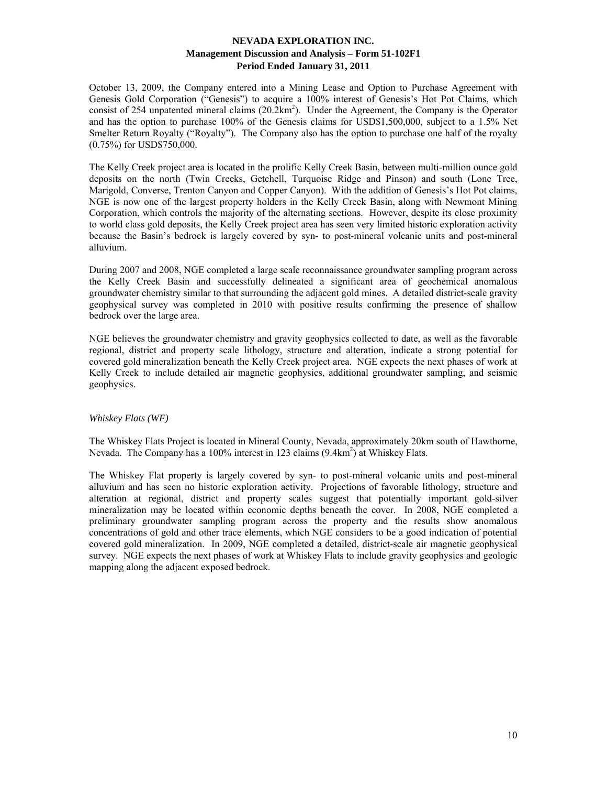October 13, 2009, the Company entered into a Mining Lease and Option to Purchase Agreement with Genesis Gold Corporation ("Genesis") to acquire a 100% interest of Genesis's Hot Pot Claims, which consist of 254 unpatented mineral claims  $(20.2 \text{km}^2)$ . Under the Agreement, the Company is the Operator and has the option to purchase 100% of the Genesis claims for USD\$1,500,000, subject to a 1.5% Net Smelter Return Royalty ("Royalty"). The Company also has the option to purchase one half of the royalty (0.75%) for USD\$750,000.

The Kelly Creek project area is located in the prolific Kelly Creek Basin, between multi-million ounce gold deposits on the north (Twin Creeks, Getchell, Turquoise Ridge and Pinson) and south (Lone Tree, Marigold, Converse, Trenton Canyon and Copper Canyon). With the addition of Genesis's Hot Pot claims, NGE is now one of the largest property holders in the Kelly Creek Basin, along with Newmont Mining Corporation, which controls the majority of the alternating sections. However, despite its close proximity to world class gold deposits, the Kelly Creek project area has seen very limited historic exploration activity because the Basin's bedrock is largely covered by syn- to post-mineral volcanic units and post-mineral alluvium.

During 2007 and 2008, NGE completed a large scale reconnaissance groundwater sampling program across the Kelly Creek Basin and successfully delineated a significant area of geochemical anomalous groundwater chemistry similar to that surrounding the adjacent gold mines. A detailed district-scale gravity geophysical survey was completed in 2010 with positive results confirming the presence of shallow bedrock over the large area.

NGE believes the groundwater chemistry and gravity geophysics collected to date, as well as the favorable regional, district and property scale lithology, structure and alteration, indicate a strong potential for covered gold mineralization beneath the Kelly Creek project area. NGE expects the next phases of work at Kelly Creek to include detailed air magnetic geophysics, additional groundwater sampling, and seismic geophysics.

## *Whiskey Flats (WF)*

The Whiskey Flats Project is located in Mineral County, Nevada, approximately 20km south of Hawthorne, Nevada. The Company has a 100% interest in 123 claims (9.4km<sup>2</sup>) at Whiskey Flats.

The Whiskey Flat property is largely covered by syn- to post-mineral volcanic units and post-mineral alluvium and has seen no historic exploration activity. Projections of favorable lithology, structure and alteration at regional, district and property scales suggest that potentially important gold-silver mineralization may be located within economic depths beneath the cover. In 2008, NGE completed a preliminary groundwater sampling program across the property and the results show anomalous concentrations of gold and other trace elements, which NGE considers to be a good indication of potential covered gold mineralization. In 2009, NGE completed a detailed, district-scale air magnetic geophysical survey. NGE expects the next phases of work at Whiskey Flats to include gravity geophysics and geologic mapping along the adjacent exposed bedrock.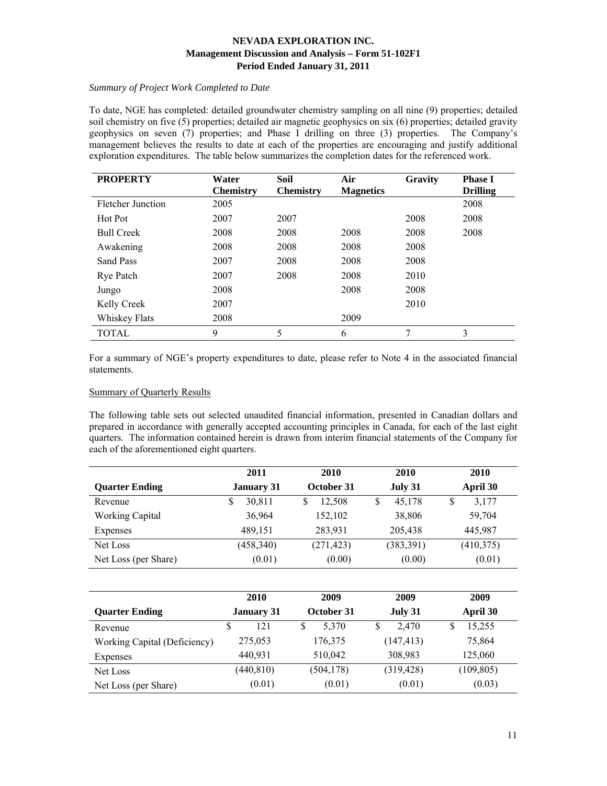# *Summary of Project Work Completed to Date*

To date, NGE has completed: detailed groundwater chemistry sampling on all nine (9) properties; detailed soil chemistry on five (5) properties; detailed air magnetic geophysics on six (6) properties; detailed gravity geophysics on seven (7) properties; and Phase I drilling on three (3) properties. The Company's management believes the results to date at each of the properties are encouraging and justify additional exploration expenditures. The table below summarizes the completion dates for the referenced work.

| <b>PROPERTY</b>   | Water            | Soil             | Air              | <b>Gravity</b> | <b>Phase I</b>  |
|-------------------|------------------|------------------|------------------|----------------|-----------------|
|                   | <b>Chemistry</b> | <b>Chemistry</b> | <b>Magnetics</b> |                | <b>Drilling</b> |
| Fletcher Junction | 2005             |                  |                  |                | 2008            |
| Hot Pot           | 2007             | 2007             |                  | 2008           | 2008            |
| <b>Bull Creek</b> | 2008             | 2008             | 2008             | 2008           | 2008            |
| Awakening         | 2008             | 2008             | 2008             | 2008           |                 |
| Sand Pass         | 2007             | 2008             | 2008             | 2008           |                 |
| Rye Patch         | 2007             | 2008             | 2008             | 2010           |                 |
| Jungo             | 2008             |                  | 2008             | 2008           |                 |
| Kelly Creek       | 2007             |                  |                  | 2010           |                 |
| Whiskey Flats     | 2008             |                  | 2009             |                |                 |
| <b>TOTAL</b>      | 9                | 5                | 6                | 7              | 3               |

For a summary of NGE's property expenditures to date, please refer to Note 4 in the associated financial statements.

## Summary of Quarterly Results

The following table sets out selected unaudited financial information, presented in Canadian dollars and prepared in accordance with generally accepted accounting principles in Canada, for each of the last eight quarters. The information contained herein is drawn from interim financial statements of the Company for each of the aforementioned eight quarters.

|                       | 2011              | 2010       | 2010         | 2010       |
|-----------------------|-------------------|------------|--------------|------------|
| <b>Quarter Ending</b> | <b>January 31</b> | October 31 | July 31      | April 30   |
| Revenue               | 30,811<br>S       | 12.508     | 45,178<br>\$ | 3,177<br>S |
| Working Capital       | 36,964            | 152,102    | 38,806       | 59,704     |
| Expenses              | 489,151           | 283,931    | 205,438      | 445,987    |
| Net Loss              | (458, 340)        | (271, 423) | (383, 391)   | (410,375)  |
| Net Loss (per Share)  | (0.01)            | (0.00)     | (0.00)       | (0.01)     |

|                              | 2010              | 2009       | 2009       | 2009       |
|------------------------------|-------------------|------------|------------|------------|
| <b>Quarter Ending</b>        | <b>January 31</b> | October 31 | July 31    | April 30   |
| Revenue                      | 121<br>S          | 5,370<br>S | 2.470<br>S | 15,255     |
| Working Capital (Deficiency) | 275,053           | 176,375    | (147, 413) | 75,864     |
| Expenses                     | 440,931           | 510,042    | 308,983    | 125,060    |
| Net Loss                     | (440, 810)        | (504, 178) | (319, 428) | (109, 805) |
| Net Loss (per Share)         | (0.01)            | (0.01)     | (0.01)     | (0.03)     |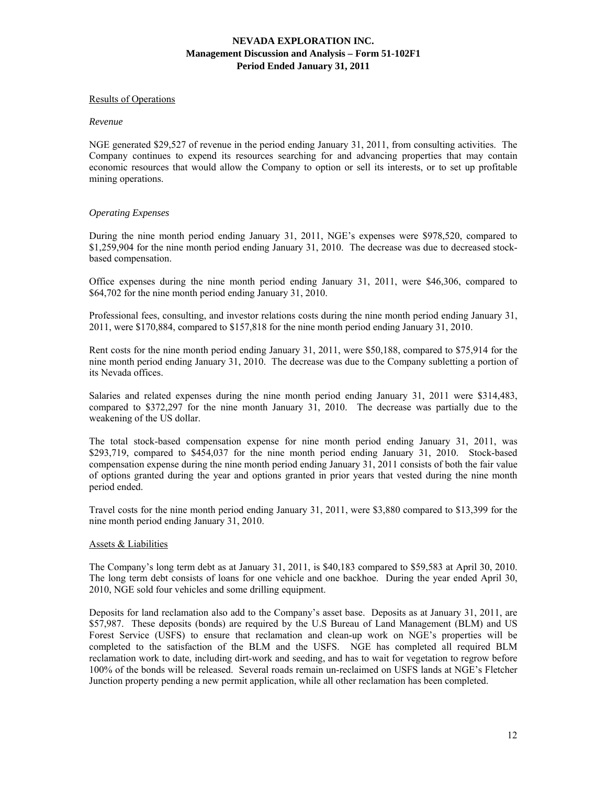### Results of Operations

#### *Revenue*

NGE generated \$29,527 of revenue in the period ending January 31, 2011, from consulting activities. The Company continues to expend its resources searching for and advancing properties that may contain economic resources that would allow the Company to option or sell its interests, or to set up profitable mining operations.

## *Operating Expenses*

During the nine month period ending January 31, 2011, NGE's expenses were \$978,520, compared to \$1,259,904 for the nine month period ending January 31, 2010. The decrease was due to decreased stockbased compensation.

Office expenses during the nine month period ending January 31, 2011, were \$46,306, compared to \$64,702 for the nine month period ending January 31, 2010.

Professional fees, consulting, and investor relations costs during the nine month period ending January 31, 2011, were \$170,884, compared to \$157,818 for the nine month period ending January 31, 2010.

Rent costs for the nine month period ending January 31, 2011, were \$50,188, compared to \$75,914 for the nine month period ending January 31, 2010. The decrease was due to the Company subletting a portion of its Nevada offices.

Salaries and related expenses during the nine month period ending January 31, 2011 were \$314,483, compared to \$372,297 for the nine month January 31, 2010. The decrease was partially due to the weakening of the US dollar.

The total stock-based compensation expense for nine month period ending January 31, 2011, was \$293,719, compared to \$454,037 for the nine month period ending January 31, 2010. Stock-based compensation expense during the nine month period ending January 31, 2011 consists of both the fair value of options granted during the year and options granted in prior years that vested during the nine month period ended.

Travel costs for the nine month period ending January 31, 2011, were \$3,880 compared to \$13,399 for the nine month period ending January 31, 2010.

#### Assets & Liabilities

The Company's long term debt as at January 31, 2011, is \$40,183 compared to \$59,583 at April 30, 2010. The long term debt consists of loans for one vehicle and one backhoe. During the year ended April 30, 2010, NGE sold four vehicles and some drilling equipment.

Deposits for land reclamation also add to the Company's asset base. Deposits as at January 31, 2011, are \$57,987. These deposits (bonds) are required by the U.S Bureau of Land Management (BLM) and US Forest Service (USFS) to ensure that reclamation and clean-up work on NGE's properties will be completed to the satisfaction of the BLM and the USFS. NGE has completed all required BLM reclamation work to date, including dirt-work and seeding, and has to wait for vegetation to regrow before 100% of the bonds will be released. Several roads remain un-reclaimed on USFS lands at NGE's Fletcher Junction property pending a new permit application, while all other reclamation has been completed.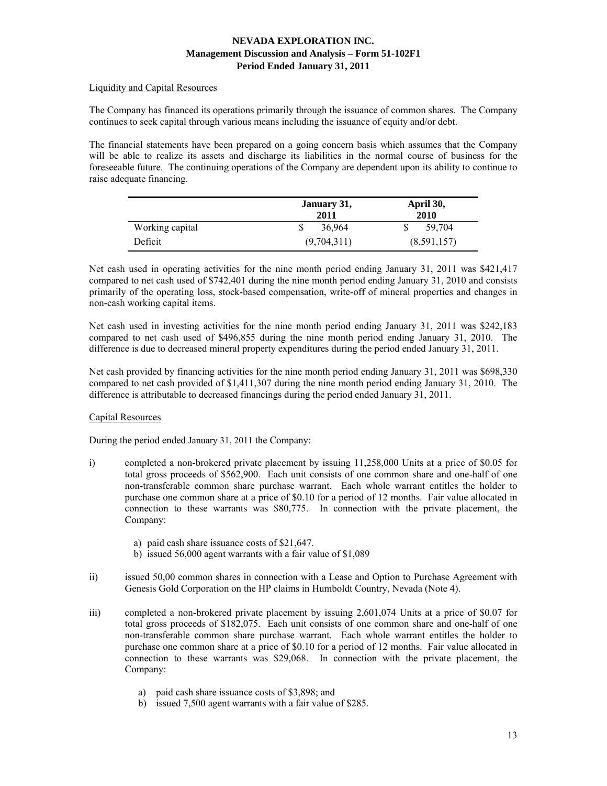## Liquidity and Capital Resources

The Company has financed its operations primarily through the issuance of common shares. The Company continues to seek capital through various means including the issuance of equity and/or debt.

The financial statements have been prepared on a going concern basis which assumes that the Company will be able to realize its assets and discharge its liabilities in the normal course of business for the foreseeable future. The continuing operations of the Company are dependent upon its ability to continue to raise adequate financing.

|                 | January 31,<br>2011 | April 30,<br>2010 |  |
|-----------------|---------------------|-------------------|--|
| Working capital | 36,964              | 59,704            |  |
| Deficit         | (9,704,311)         | (8,591,157)       |  |

Net cash used in operating activities for the nine month period ending January 31, 2011 was \$421,417 compared to net cash used of \$742,401 during the nine month period ending January 31, 2010 and consists primarily of the operating loss, stock-based compensation, write-off of mineral properties and changes in non-cash working capital items.

Net cash used in investing activities for the nine month period ending January 31, 2011 was \$242,183 compared to net cash used of \$496,855 during the nine month period ending January 31, 2010. The difference is due to decreased mineral property expenditures during the period ended January 31, 2011.

Net cash provided by financing activities for the nine month period ending January 31, 2011 was \$698,330 compared to net cash provided of \$1,411,307 during the nine month period ending January 31, 2010. The difference is attributable to decreased financings during the period ended January 31, 2011.

## Capital Resources

During the period ended January 31, 2011 the Company:

- i) completed a non-brokered private placement by issuing 11,258,000 Units at a price of \$0.05 for total gross proceeds of \$562,900. Each unit consists of one common share and one-half of one non-transferable common share purchase warrant. Each whole warrant entitles the holder to purchase one common share at a price of \$0.10 for a period of 12 months. Fair value allocated in connection to these warrants was \$80,775. In connection with the private placement, the Company:
	- a) paid cash share issuance costs of \$21,647.
	- b) issued 56,000 agent warrants with a fair value of \$1,089
- ii) issued 50,00 common shares in connection with a Lease and Option to Purchase Agreement with Genesis Gold Corporation on the HP claims in Humboldt Country, Nevada (Note 4).
- iii) completed a non-brokered private placement by issuing 2,601,074 Units at a price of \$0.07 for total gross proceeds of \$182,075. Each unit consists of one common share and one-half of one non-transferable common share purchase warrant. Each whole warrant entitles the holder to purchase one common share at a price of \$0.10 for a period of 12 months. Fair value allocated in connection to these warrants was \$29,068. In connection with the private placement, the Company:
	- a) paid cash share issuance costs of \$3,898; and
	- b) issued 7,500 agent warrants with a fair value of \$285.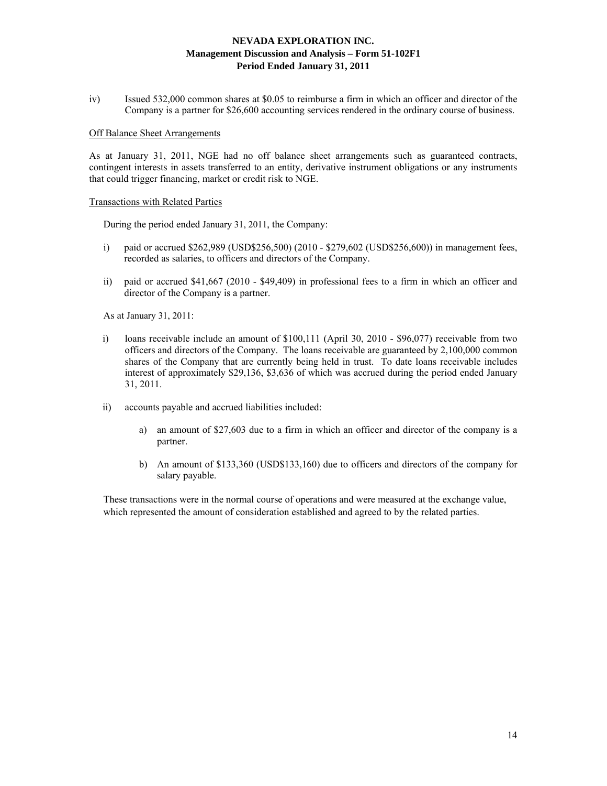iv) Issued 532,000 common shares at \$0.05 to reimburse a firm in which an officer and director of the Company is a partner for \$26,600 accounting services rendered in the ordinary course of business.

#### Off Balance Sheet Arrangements

As at January 31, 2011, NGE had no off balance sheet arrangements such as guaranteed contracts, contingent interests in assets transferred to an entity, derivative instrument obligations or any instruments that could trigger financing, market or credit risk to NGE.

#### Transactions with Related Parties

During the period ended January 31, 2011, the Company:

- i) paid or accrued \$262,989 (USD\$256,500) (2010 \$279,602 (USD\$256,600)) in management fees, recorded as salaries, to officers and directors of the Company.
- ii) paid or accrued \$41,667 (2010 \$49,409) in professional fees to a firm in which an officer and director of the Company is a partner.

As at January 31, 2011:

- i) loans receivable include an amount of \$100,111 (April 30, 2010 \$96,077) receivable from two officers and directors of the Company. The loans receivable are guaranteed by 2,100,000 common shares of the Company that are currently being held in trust. To date loans receivable includes interest of approximately \$29,136, \$3,636 of which was accrued during the period ended January 31, 2011.
- ii) accounts payable and accrued liabilities included:
	- a) an amount of \$27,603 due to a firm in which an officer and director of the company is a partner.
	- b) An amount of \$133,360 (USD\$133,160) due to officers and directors of the company for salary payable.

These transactions were in the normal course of operations and were measured at the exchange value, which represented the amount of consideration established and agreed to by the related parties.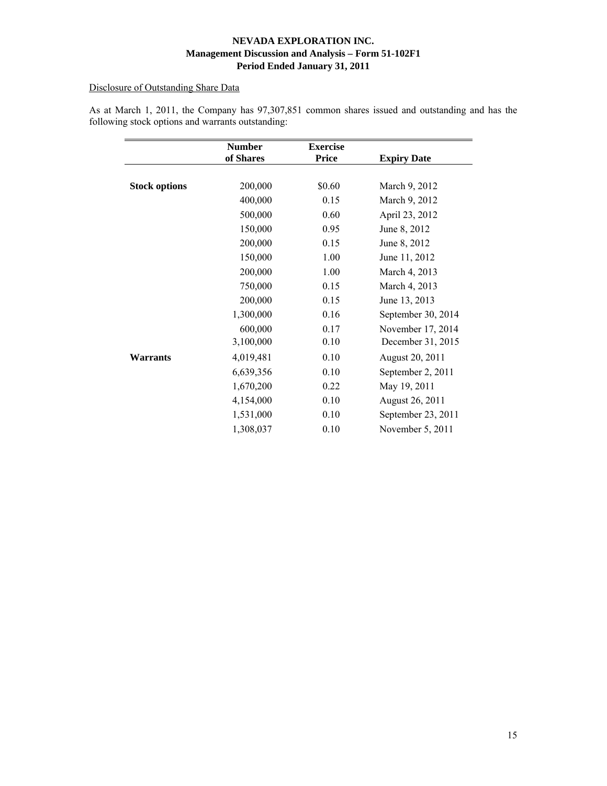# Disclosure of Outstanding Share Data

|                      | <b>Number</b><br>of Shares | <b>Exercise</b><br><b>Price</b> | <b>Expiry Date</b> |
|----------------------|----------------------------|---------------------------------|--------------------|
|                      |                            |                                 |                    |
| <b>Stock options</b> | 200,000                    | \$0.60                          | March 9, 2012      |
|                      | 400,000                    | 0.15                            | March 9, 2012      |
|                      | 500,000                    | 0.60                            | April 23, 2012     |
|                      | 150,000                    | 0.95                            | June 8, 2012       |
|                      | 200,000                    | 0.15                            | June 8, 2012       |
|                      | 150,000                    | 1.00                            | June 11, 2012      |
|                      | 200,000                    | 1.00                            | March 4, 2013      |
|                      | 750,000                    | 0.15                            | March 4, 2013      |
|                      | 200,000                    | 0.15                            | June 13, 2013      |
|                      | 1,300,000                  | 0.16                            | September 30, 2014 |
|                      | 600,000                    | 0.17                            | November 17, 2014  |
|                      | 3,100,000                  | 0.10                            | December 31, 2015  |
| Warrants             | 4,019,481                  | 0.10                            | August 20, 2011    |
|                      | 6,639,356                  | 0.10                            | September 2, 2011  |
|                      | 1,670,200                  | 0.22                            | May 19, 2011       |
|                      | 4,154,000                  | 0.10                            | August 26, 2011    |
|                      | 1,531,000                  | 0.10                            | September 23, 2011 |
|                      | 1,308,037                  | 0.10                            | November 5, 2011   |

As at March 1, 2011, the Company has 97,307,851 common shares issued and outstanding and has the following stock options and warrants outstanding: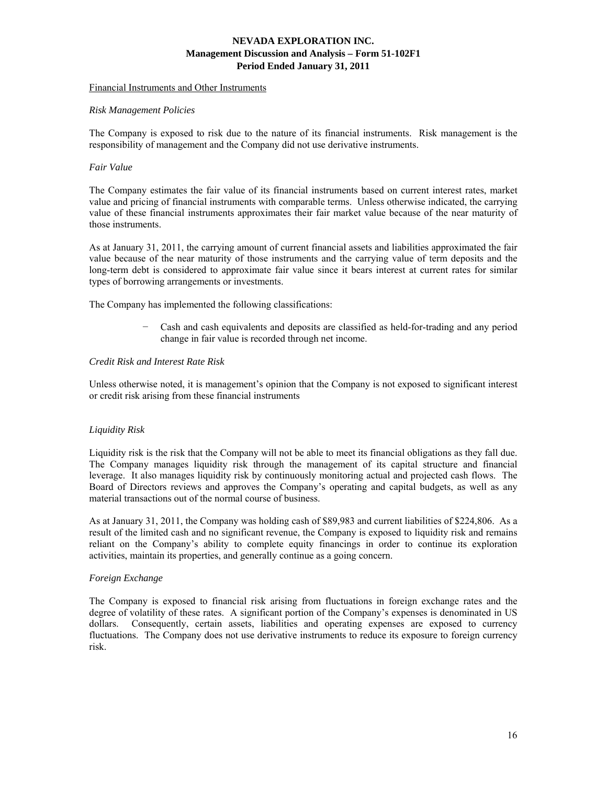## Financial Instruments and Other Instruments

### *Risk Management Policies*

The Company is exposed to risk due to the nature of its financial instruments. Risk management is the responsibility of management and the Company did not use derivative instruments.

## *Fair Value*

The Company estimates the fair value of its financial instruments based on current interest rates, market value and pricing of financial instruments with comparable terms. Unless otherwise indicated, the carrying value of these financial instruments approximates their fair market value because of the near maturity of those instruments.

As at January 31, 2011, the carrying amount of current financial assets and liabilities approximated the fair value because of the near maturity of those instruments and the carrying value of term deposits and the long-term debt is considered to approximate fair value since it bears interest at current rates for similar types of borrowing arrangements or investments.

The Company has implemented the following classifications:

− Cash and cash equivalents and deposits are classified as held-for-trading and any period change in fair value is recorded through net income.

## *Credit Risk and Interest Rate Risk*

Unless otherwise noted, it is management's opinion that the Company is not exposed to significant interest or credit risk arising from these financial instruments

## *Liquidity Risk*

Liquidity risk is the risk that the Company will not be able to meet its financial obligations as they fall due. The Company manages liquidity risk through the management of its capital structure and financial leverage. It also manages liquidity risk by continuously monitoring actual and projected cash flows. The Board of Directors reviews and approves the Company's operating and capital budgets, as well as any material transactions out of the normal course of business.

As at January 31, 2011, the Company was holding cash of \$89,983 and current liabilities of \$224,806. As a result of the limited cash and no significant revenue, the Company is exposed to liquidity risk and remains reliant on the Company's ability to complete equity financings in order to continue its exploration activities, maintain its properties, and generally continue as a going concern.

#### *Foreign Exchange*

The Company is exposed to financial risk arising from fluctuations in foreign exchange rates and the degree of volatility of these rates. A significant portion of the Company's expenses is denominated in US dollars. Consequently, certain assets, liabilities and operating expenses are exposed to currency fluctuations. The Company does not use derivative instruments to reduce its exposure to foreign currency risk.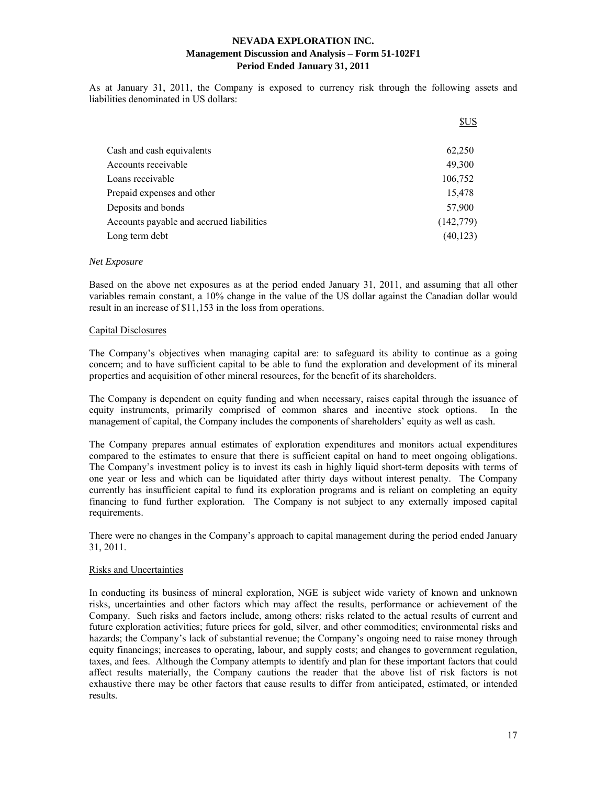As at January 31, 2011, the Company is exposed to currency risk through the following assets and liabilities denominated in US dollars:

|                                          | \$US       |
|------------------------------------------|------------|
| Cash and cash equivalents                | 62,250     |
| Accounts receivable                      | 49,300     |
| Loans receivable                         | 106,752    |
| Prepaid expenses and other               | 15,478     |
| Deposits and bonds                       | 57,900     |
| Accounts payable and accrued liabilities | (142, 779) |
| Long term debt                           | (40, 123)  |

#### *Net Exposure*

Based on the above net exposures as at the period ended January 31, 2011, and assuming that all other variables remain constant, a 10% change in the value of the US dollar against the Canadian dollar would result in an increase of \$11,153 in the loss from operations.

#### Capital Disclosures

The Company's objectives when managing capital are: to safeguard its ability to continue as a going concern; and to have sufficient capital to be able to fund the exploration and development of its mineral properties and acquisition of other mineral resources, for the benefit of its shareholders.

The Company is dependent on equity funding and when necessary, raises capital through the issuance of equity instruments, primarily comprised of common shares and incentive stock options. In the management of capital, the Company includes the components of shareholders' equity as well as cash.

The Company prepares annual estimates of exploration expenditures and monitors actual expenditures compared to the estimates to ensure that there is sufficient capital on hand to meet ongoing obligations. The Company's investment policy is to invest its cash in highly liquid short-term deposits with terms of one year or less and which can be liquidated after thirty days without interest penalty. The Company currently has insufficient capital to fund its exploration programs and is reliant on completing an equity financing to fund further exploration. The Company is not subject to any externally imposed capital requirements.

There were no changes in the Company's approach to capital management during the period ended January 31, 2011.

#### Risks and Uncertainties

In conducting its business of mineral exploration, NGE is subject wide variety of known and unknown risks, uncertainties and other factors which may affect the results, performance or achievement of the Company. Such risks and factors include, among others: risks related to the actual results of current and future exploration activities; future prices for gold, silver, and other commodities; environmental risks and hazards; the Company's lack of substantial revenue; the Company's ongoing need to raise money through equity financings; increases to operating, labour, and supply costs; and changes to government regulation, taxes, and fees. Although the Company attempts to identify and plan for these important factors that could affect results materially, the Company cautions the reader that the above list of risk factors is not exhaustive there may be other factors that cause results to differ from anticipated, estimated, or intended results.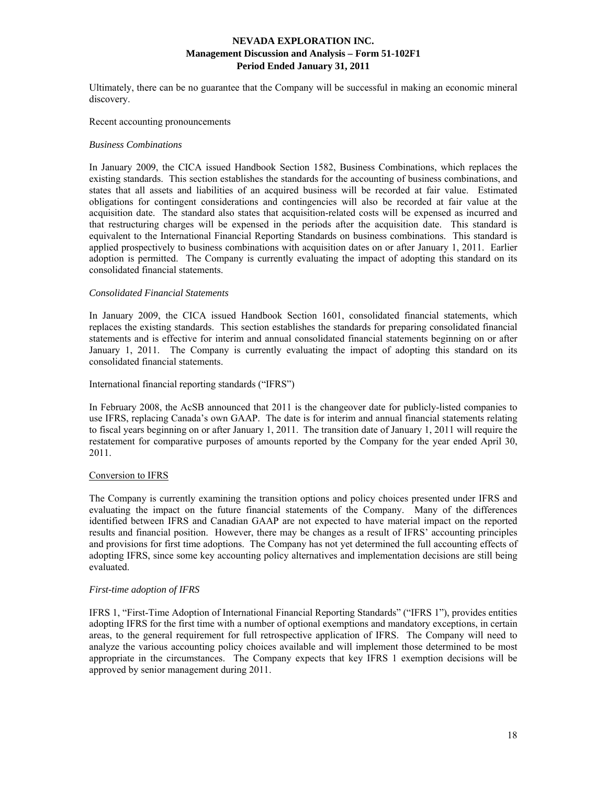Ultimately, there can be no guarantee that the Company will be successful in making an economic mineral discovery.

#### Recent accounting pronouncements

#### *Business Combinations*

In January 2009, the CICA issued Handbook Section 1582, Business Combinations, which replaces the existing standards. This section establishes the standards for the accounting of business combinations, and states that all assets and liabilities of an acquired business will be recorded at fair value. Estimated obligations for contingent considerations and contingencies will also be recorded at fair value at the acquisition date. The standard also states that acquisition-related costs will be expensed as incurred and that restructuring charges will be expensed in the periods after the acquisition date. This standard is equivalent to the International Financial Reporting Standards on business combinations. This standard is applied prospectively to business combinations with acquisition dates on or after January 1, 2011. Earlier adoption is permitted. The Company is currently evaluating the impact of adopting this standard on its consolidated financial statements.

#### *Consolidated Financial Statements*

In January 2009, the CICA issued Handbook Section 1601, consolidated financial statements, which replaces the existing standards. This section establishes the standards for preparing consolidated financial statements and is effective for interim and annual consolidated financial statements beginning on or after January 1, 2011. The Company is currently evaluating the impact of adopting this standard on its consolidated financial statements.

#### International financial reporting standards ("IFRS")

In February 2008, the AcSB announced that 2011 is the changeover date for publicly-listed companies to use IFRS, replacing Canada's own GAAP. The date is for interim and annual financial statements relating to fiscal years beginning on or after January 1, 2011. The transition date of January 1, 2011 will require the restatement for comparative purposes of amounts reported by the Company for the year ended April 30, 2011.

### Conversion to IFRS

The Company is currently examining the transition options and policy choices presented under IFRS and evaluating the impact on the future financial statements of the Company. Many of the differences identified between IFRS and Canadian GAAP are not expected to have material impact on the reported results and financial position. However, there may be changes as a result of IFRS' accounting principles and provisions for first time adoptions. The Company has not yet determined the full accounting effects of adopting IFRS, since some key accounting policy alternatives and implementation decisions are still being evaluated.

### *First-time adoption of IFRS*

IFRS 1, "First-Time Adoption of International Financial Reporting Standards" ("IFRS 1"), provides entities adopting IFRS for the first time with a number of optional exemptions and mandatory exceptions, in certain areas, to the general requirement for full retrospective application of IFRS. The Company will need to analyze the various accounting policy choices available and will implement those determined to be most appropriate in the circumstances. The Company expects that key IFRS 1 exemption decisions will be approved by senior management during 2011.